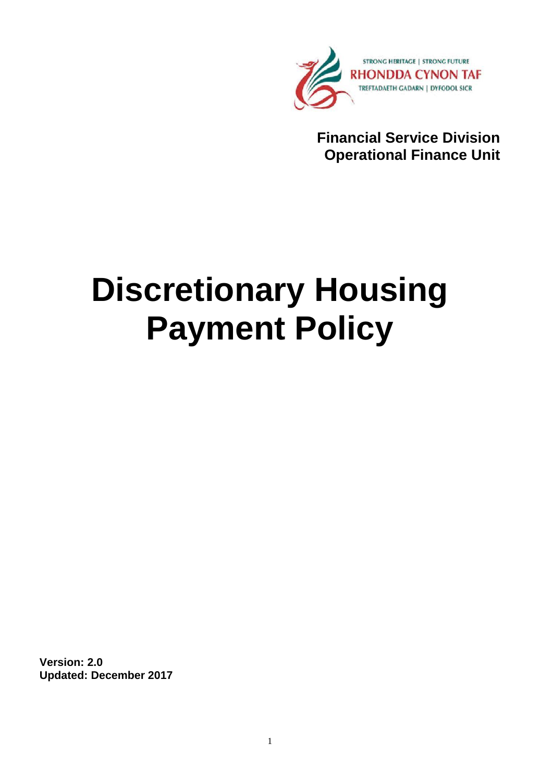

**Financial Service Division Operational Finance Unit**

# **Discretionary Housing Payment Policy**

**Version: 2.0 Updated: December 2017**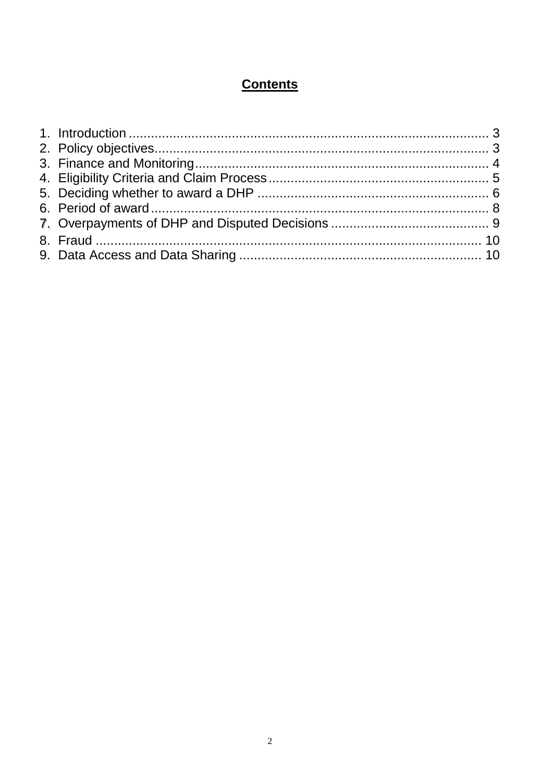# **Contents**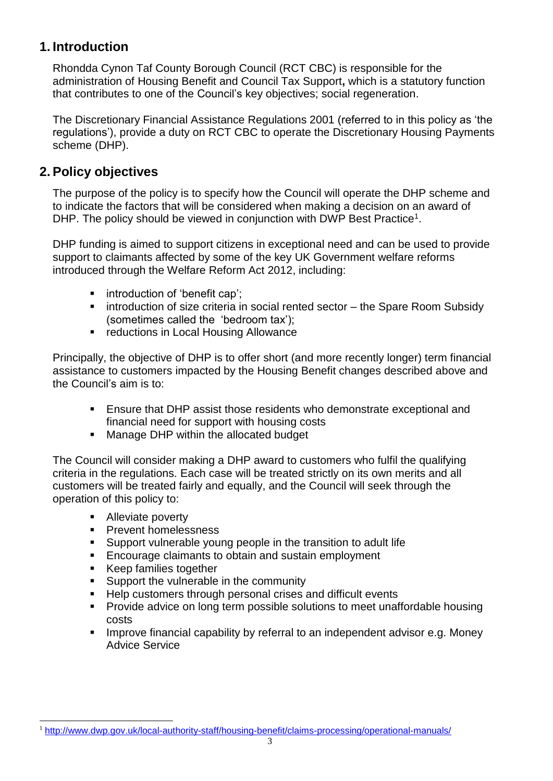# <span id="page-2-0"></span>**1. Introduction**

Rhondda Cynon Taf County Borough Council (RCT CBC) is responsible for the administration of Housing Benefit and Council Tax Support**,** which is a statutory function that contributes to one of the Council's key objectives; social regeneration.

The Discretionary Financial Assistance Regulations 2001 (referred to in this policy as 'the regulations'), provide a duty on RCT CBC to operate the Discretionary Housing Payments scheme (DHP).

## <span id="page-2-1"></span>**2. Policy objectives**

The purpose of the policy is to specify how the Council will operate the DHP scheme and to indicate the factors that will be considered when making a decision on an award of DHP. The policy should be viewed in conjunction with DWP Best Practice<sup>1</sup>.

DHP funding is aimed to support citizens in exceptional need and can be used to provide support to claimants affected by some of the key UK Government welfare reforms introduced through the Welfare Reform Act 2012, including:

- **introduction of 'benefit cap';**
- **EXEDEE Introduction of size criteria in social rented sector the Spare Room Subsidy** (sometimes called the 'bedroom tax');
- **F** reductions in Local Housing Allowance

Principally, the objective of DHP is to offer short (and more recently longer) term financial assistance to customers impacted by the Housing Benefit changes described above and the Council's aim is to:

- Ensure that DHP assist those residents who demonstrate exceptional and financial need for support with housing costs
- **Manage DHP within the allocated budget**

The Council will consider making a DHP award to customers who fulfil the qualifying criteria in the regulations. Each case will be treated strictly on its own merits and all customers will be treated fairly and equally, and the Council will seek through the operation of this policy to:

- Alleviate poverty
- **Prevent homelessness**
- Support vulnerable young people in the transition to adult life
- **Encourage claimants to obtain and sustain employment**
- **Keep families together**
- Support the vulnerable in the community
- Help customers through personal crises and difficult events
- **Provide advice on long term possible solutions to meet unaffordable housing** costs
- **IMPROVE FINANCIAL CAPADILITY by referral to an independent advisor e.g. Money** Advice Service

l <sup>1</sup> <http://www.dwp.gov.uk/local-authority-staff/housing-benefit/claims-processing/operational-manuals/>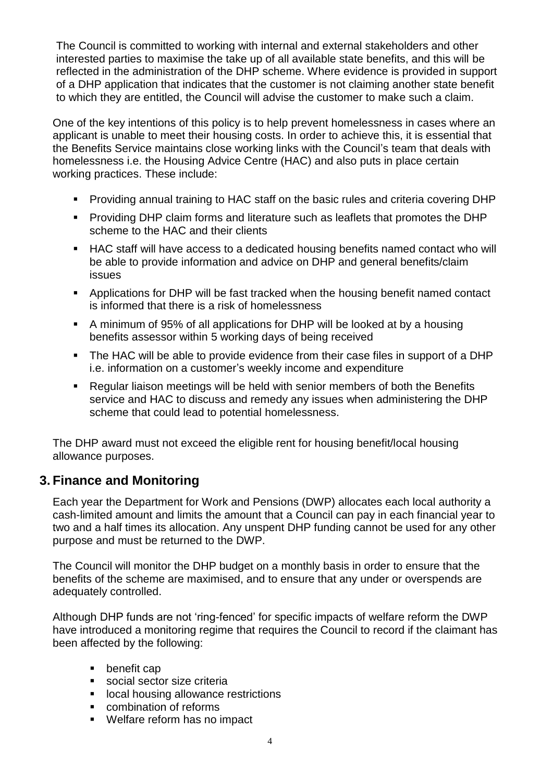The Council is committed to working with internal and external stakeholders and other interested parties to maximise the take up of all available state benefits, and this will be reflected in the administration of the DHP scheme. Where evidence is provided in support of a DHP application that indicates that the customer is not claiming another state benefit to which they are entitled, the Council will advise the customer to make such a claim.

One of the key intentions of this policy is to help prevent homelessness in cases where an applicant is unable to meet their housing costs. In order to achieve this, it is essential that the Benefits Service maintains close working links with the Council's team that deals with homelessness i.e. the Housing Advice Centre (HAC) and also puts in place certain working practices. These include:

- Providing annual training to HAC staff on the basic rules and criteria covering DHP
- **Providing DHP claim forms and literature such as leaflets that promotes the DHP** scheme to the HAC and their clients
- HAC staff will have access to a dedicated housing benefits named contact who will be able to provide information and advice on DHP and general benefits/claim issues
- Applications for DHP will be fast tracked when the housing benefit named contact is informed that there is a risk of homelessness
- A minimum of 95% of all applications for DHP will be looked at by a housing benefits assessor within 5 working days of being received
- The HAC will be able to provide evidence from their case files in support of a DHP i.e. information on a customer's weekly income and expenditure
- Regular liaison meetings will be held with senior members of both the Benefits service and HAC to discuss and remedy any issues when administering the DHP scheme that could lead to potential homelessness.

The DHP award must not exceed the eligible rent for housing benefit/local housing allowance purposes.

## <span id="page-3-0"></span>**3. Finance and Monitoring**

Each year the Department for Work and Pensions (DWP) allocates each local authority a cash-limited amount and limits the amount that a Council can pay in each financial year to two and a half times its allocation. Any unspent DHP funding cannot be used for any other purpose and must be returned to the DWP.

The Council will monitor the DHP budget on a monthly basis in order to ensure that the benefits of the scheme are maximised, and to ensure that any under or overspends are adequately controlled.

Although DHP funds are not 'ring-fenced' for specific impacts of welfare reform the DWP have introduced a monitoring regime that requires the Council to record if the claimant has been affected by the following:

- **•** benefit cap
- social sector size criteria
- **IDCAL housing allowance restrictions**
- **•** combination of reforms
- Welfare reform has no impact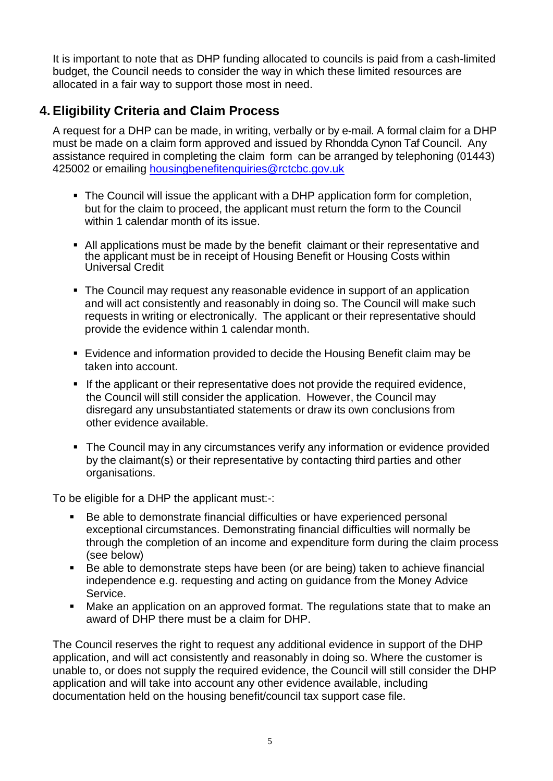It is important to note that as DHP funding allocated to councils is paid from a cash-limited budget, the Council needs to consider the way in which these limited resources are allocated in a fair way to support those most in need.

# <span id="page-4-0"></span>**4. Eligibility Criteria and Claim Process**

A request for a DHP can be made, in writing, verbally or by e-mail. A formal claim for a DHP must be made on a claim form approved and issued by Rhondda Cynon Taf Council. Any assistance required in completing the claim form can be arranged by telephoning (01443) 425002 or emailing [housingbenefitenquiries@rctcbc.gov.uk](mailto:housingbenefitenquiries@rctcbc.gov.uk)

- The Council will issue the applicant with a DHP application form for completion, but for the claim to proceed, the applicant must return the form to the Council within 1 calendar month of its issue.
- All applications must be made by the benefit claimant or their representative and the applicant must be in receipt of Housing Benefit or Housing Costs within Universal Credit
- The Council may request any reasonable evidence in support of an application and will act consistently and reasonably in doing so. The Council will make such requests in writing or electronically. The applicant or their representative should provide the evidence within 1 calendar month.
- Evidence and information provided to decide the Housing Benefit claim may be taken into account.
- If the applicant or their representative does not provide the required evidence, the Council will still consider the application. However, the Council may disregard any unsubstantiated statements or draw its own conclusions from other evidence available.
- The Council may in any circumstances verify any information or evidence provided by the claimant(s) or their representative by contacting third parties and other organisations.

To be eligible for a DHP the applicant must:-:

- Be able to demonstrate financial difficulties or have experienced personal exceptional circumstances. Demonstrating financial difficulties will normally be through the completion of an income and expenditure form during the claim process (see below)
- Be able to demonstrate steps have been (or are being) taken to achieve financial independence e.g. requesting and acting on guidance from the Money Advice Service.
- Make an application on an approved format. The regulations state that to make an award of DHP there must be a claim for DHP.

The Council reserves the right to request any additional evidence in support of the DHP application, and will act consistently and reasonably in doing so. Where the customer is unable to, or does not supply the required evidence, the Council will still consider the DHP application and will take into account any other evidence available, including documentation held on the housing benefit/council tax support case file.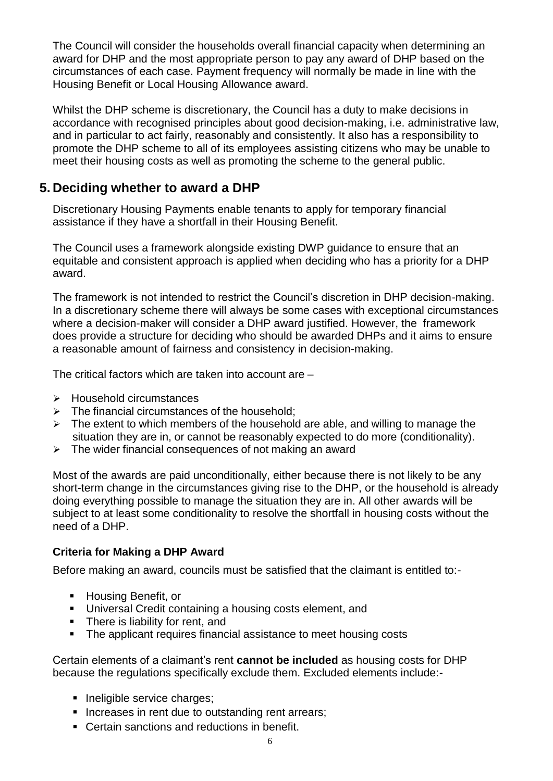The Council will consider the households overall financial capacity when determining an award for DHP and the most appropriate person to pay any award of DHP based on the circumstances of each case. Payment frequency will normally be made in line with the Housing Benefit or Local Housing Allowance award.

Whilst the DHP scheme is discretionary, the Council has a duty to make decisions in accordance with recognised principles about good decision-making, i.e. administrative law, and in particular to act fairly, reasonably and consistently. It also has a responsibility to promote the DHP scheme to all of its employees assisting citizens who may be unable to meet their housing costs as well as promoting the scheme to the general public.

## <span id="page-5-0"></span>**5. Deciding whether to award a DHP**

Discretionary Housing Payments enable tenants to apply for temporary financial assistance if they have a shortfall in their Housing Benefit.

The Council uses a framework alongside existing DWP guidance to ensure that an equitable and consistent approach is applied when deciding who has a priority for a DHP award.

The framework is not intended to restrict the Council's discretion in DHP decision-making. In a discretionary scheme there will always be some cases with exceptional circumstances where a decision-maker will consider a DHP award justified. However, the framework does provide a structure for deciding who should be awarded DHPs and it aims to ensure a reasonable amount of fairness and consistency in decision-making.

The critical factors which are taken into account are –

- > Household circumstances
- $\triangleright$  The financial circumstances of the household:
- $\triangleright$  The extent to which members of the household are able, and willing to manage the situation they are in, or cannot be reasonably expected to do more (conditionality).
- $\triangleright$  The wider financial consequences of not making an award

Most of the awards are paid unconditionally, either because there is not likely to be any short-term change in the circumstances giving rise to the DHP, or the household is already doing everything possible to manage the situation they are in. All other awards will be subject to at least some conditionality to resolve the shortfall in housing costs without the need of a DHP.

## **Criteria for Making a DHP Award**

Before making an award, councils must be satisfied that the claimant is entitled to:-

- Housing Benefit, or
- Universal Credit containing a housing costs element, and
- **There is liability for rent, and**
- The applicant requires financial assistance to meet housing costs

Certain elements of a claimant's rent **cannot be included** as housing costs for DHP because the regulations specifically exclude them. Excluded elements include:-

- Ineligible service charges;
- Increases in rent due to outstanding rent arrears;
- Certain sanctions and reductions in benefit.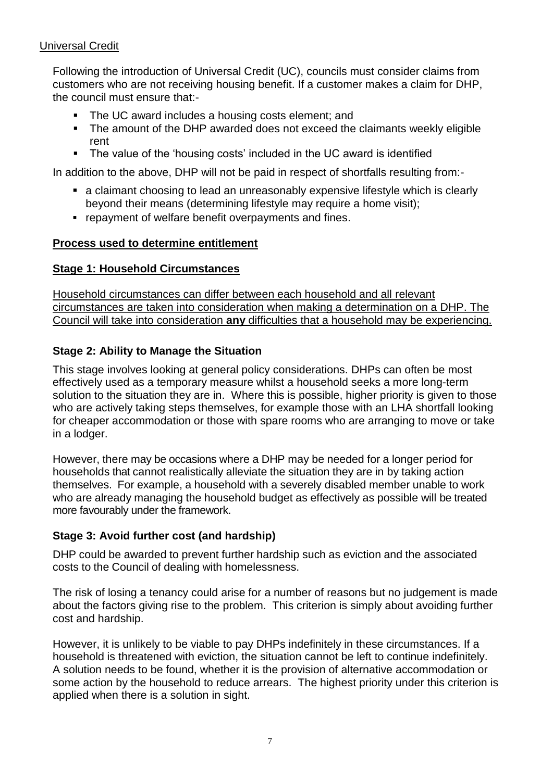## Universal Credit

Following the introduction of Universal Credit (UC), councils must consider claims from customers who are not receiving housing benefit. If a customer makes a claim for DHP, the council must ensure that:-

- The UC award includes a housing costs element; and
- The amount of the DHP awarded does not exceed the claimants weekly eligible rent
- The value of the 'housing costs' included in the UC award is identified

In addition to the above, DHP will not be paid in respect of shortfalls resulting from:-

- a claimant choosing to lead an unreasonably expensive lifestyle which is clearly beyond their means (determining lifestyle may require a home visit);
- **repayment of welfare benefit overpayments and fines.**

#### **Process used to determine entitlement**

#### **Stage 1: Household Circumstances**

Household circumstances can differ between each household and all relevant circumstances are taken into consideration when making a determination on a DHP. The Council will take into consideration **any** difficulties that a household may be experiencing.

#### **Stage 2: Ability to Manage the Situation**

This stage involves looking at general policy considerations. DHPs can often be most effectively used as a temporary measure whilst a household seeks a more long-term solution to the situation they are in. Where this is possible, higher priority is given to those who are actively taking steps themselves, for example those with an LHA shortfall looking for cheaper accommodation or those with spare rooms who are arranging to move or take in a lodger.

However, there may be occasions where a DHP may be needed for a longer period for households that cannot realistically alleviate the situation they are in by taking action themselves. For example, a household with a severely disabled member unable to work who are already managing the household budget as effectively as possible will be treated more favourably under the framework.

## **Stage 3: Avoid further cost (and hardship)**

DHP could be awarded to prevent further hardship such as eviction and the associated costs to the Council of dealing with homelessness.

The risk of losing a tenancy could arise for a number of reasons but no judgement is made about the factors giving rise to the problem. This criterion is simply about avoiding further cost and hardship.

However, it is unlikely to be viable to pay DHPs indefinitely in these circumstances. If a household is threatened with eviction, the situation cannot be left to continue indefinitely. A solution needs to be found, whether it is the provision of alternative accommodation or some action by the household to reduce arrears. The highest priority under this criterion is applied when there is a solution in sight.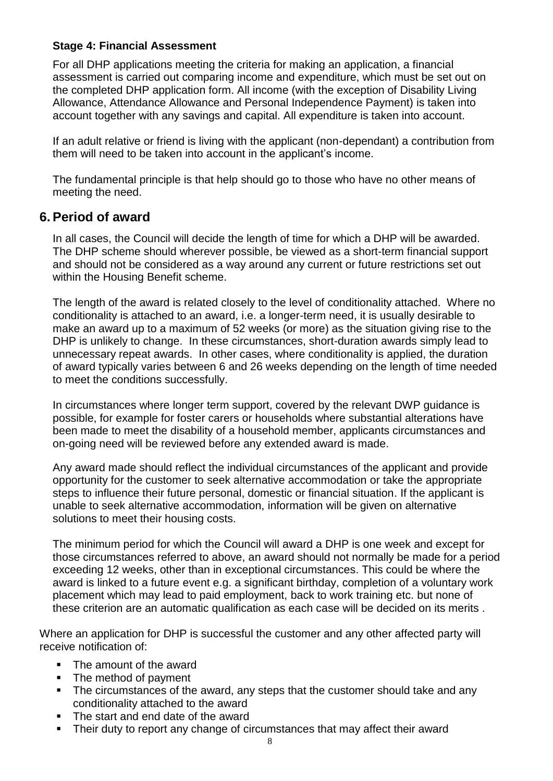## **Stage 4: Financial Assessment**

For all DHP applications meeting the criteria for making an application, a financial assessment is carried out comparing income and expenditure, which must be set out on the completed DHP application form. All income (with the exception of Disability Living Allowance, Attendance Allowance and Personal Independence Payment) is taken into account together with any savings and capital. All expenditure is taken into account.

If an adult relative or friend is living with the applicant (non-dependant) a contribution from them will need to be taken into account in the applicant's income.

The fundamental principle is that help should go to those who have no other means of meeting the need.

## <span id="page-7-0"></span>**6. Period of award**

In all cases, the Council will decide the length of time for which a DHP will be awarded. The DHP scheme should wherever possible, be viewed as a short-term financial support and should not be considered as a way around any current or future restrictions set out within the Housing Benefit scheme.

The length of the award is related closely to the level of conditionality attached. Where no conditionality is attached to an award, i.e. a longer-term need, it is usually desirable to make an award up to a maximum of 52 weeks (or more) as the situation giving rise to the DHP is unlikely to change. In these circumstances, short-duration awards simply lead to unnecessary repeat awards. In other cases, where conditionality is applied, the duration of award typically varies between 6 and 26 weeks depending on the length of time needed to meet the conditions successfully.

In circumstances where longer term support, covered by the relevant DWP guidance is possible, for example for foster carers or households where substantial alterations have been made to meet the disability of a household member, applicants circumstances and on-going need will be reviewed before any extended award is made.

Any award made should reflect the individual circumstances of the applicant and provide opportunity for the customer to seek alternative accommodation or take the appropriate steps to influence their future personal, domestic or financial situation. If the applicant is unable to seek alternative accommodation, information will be given on alternative solutions to meet their housing costs.

The minimum period for which the Council will award a DHP is one week and except for those circumstances referred to above, an award should not normally be made for a period exceeding 12 weeks, other than in exceptional circumstances. This could be where the award is linked to a future event e.g. a significant birthday, completion of a voluntary work placement which may lead to paid employment, back to work training etc. but none of these criterion are an automatic qualification as each case will be decided on its merits .

Where an application for DHP is successful the customer and any other affected party will receive notification of:

- The amount of the award
- The method of payment
- The circumstances of the award, any steps that the customer should take and any conditionality attached to the award
- The start and end date of the award
- Their duty to report any change of circumstances that may affect their award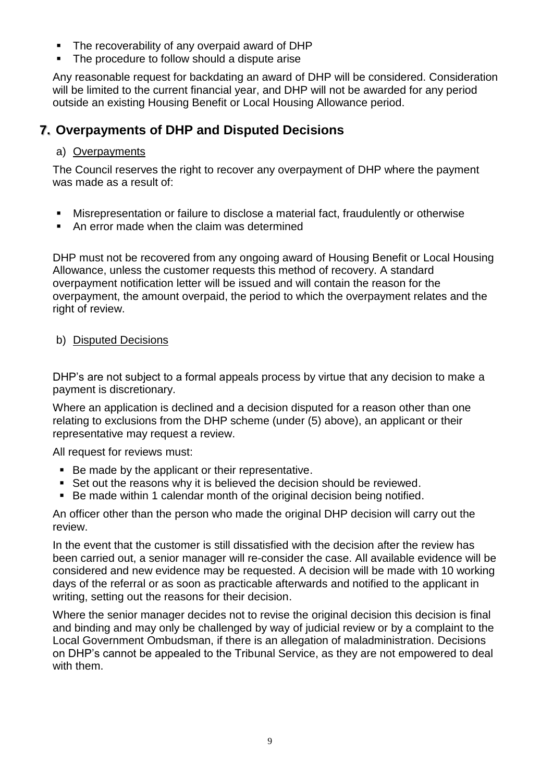- The recoverability of any overpaid award of DHP
- The procedure to follow should a dispute arise

Any reasonable request for backdating an award of DHP will be considered. Consideration will be limited to the current financial year, and DHP will not be awarded for any period outside an existing Housing Benefit or Local Housing Allowance period.

# <span id="page-8-0"></span>**7. Overpayments of DHP and Disputed Decisions**

#### a) Overpayments

The Council reserves the right to recover any overpayment of DHP where the payment was made as a result of:

- Misrepresentation or failure to disclose a material fact, fraudulently or otherwise
- An error made when the claim was determined

DHP must not be recovered from any ongoing award of Housing Benefit or Local Housing Allowance, unless the customer requests this method of recovery. A standard overpayment notification letter will be issued and will contain the reason for the overpayment, the amount overpaid, the period to which the overpayment relates and the right of review.

#### b) Disputed Decisions

DHP's are not subject to a formal appeals process by virtue that any decision to make a payment is discretionary.

Where an application is declined and a decision disputed for a reason other than one relating to exclusions from the DHP scheme (under (5) above), an applicant or their representative may request a review.

All request for reviews must:

- Be made by the applicant or their representative.
- Set out the reasons why it is believed the decision should be reviewed.
- Be made within 1 calendar month of the original decision being notified.

An officer other than the person who made the original DHP decision will carry out the review.

In the event that the customer is still dissatisfied with the decision after the review has been carried out, a senior manager will re-consider the case. All available evidence will be considered and new evidence may be requested. A decision will be made with 10 working days of the referral or as soon as practicable afterwards and notified to the applicant in writing, setting out the reasons for their decision.

Where the senior manager decides not to revise the original decision this decision is final and binding and may only be challenged by way of judicial review or by a complaint to the Local Government Ombudsman, if there is an allegation of maladministration. Decisions on DHP's cannot be appealed to the Tribunal Service, as they are not empowered to deal with them.